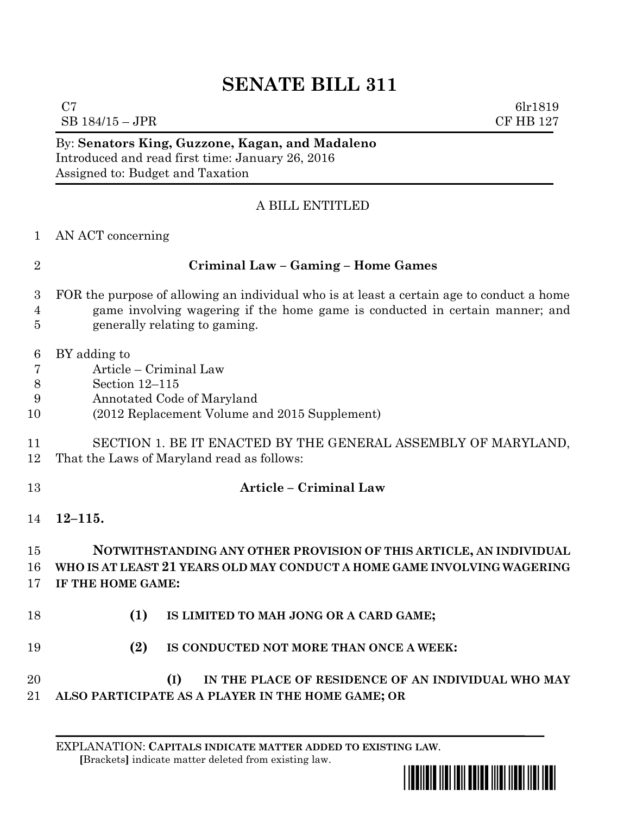## **SENATE BILL 311**

 $C7$  6lr1819  $SB$  184/15 – JPR CF HB 127

By: **Senators King, Guzzone, Kagan, and Madaleno** Introduced and read first time: January 26, 2016 Assigned to: Budget and Taxation

## A BILL ENTITLED

AN ACT concerning

| I |
|---|
|   |
|   |
|   |

## **Criminal Law – Gaming – Home Games**

- FOR the purpose of allowing an individual who is at least a certain age to conduct a home game involving wagering if the home game is conducted in certain manner; and generally relating to gaming.
- BY adding to
- Article Criminal Law
- Section 12–115
- Annotated Code of Maryland
- (2012 Replacement Volume and 2015 Supplement)
- SECTION 1. BE IT ENACTED BY THE GENERAL ASSEMBLY OF MARYLAND, That the Laws of Maryland read as follows:
- **Article – Criminal Law**
	- **12–115.**

## **NOTWITHSTANDING ANY OTHER PROVISION OF THIS ARTICLE, AN INDIVIDUAL WHO IS AT LEAST 21 YEARS OLD MAY CONDUCT A HOME GAME INVOLVING WAGERING IF THE HOME GAME:**

- **(1) IS LIMITED TO MAH JONG OR A CARD GAME;**
- **(2) IS CONDUCTED NOT MORE THAN ONCE A WEEK:**
- **(I) IN THE PLACE OF RESIDENCE OF AN INDIVIDUAL WHO MAY ALSO PARTICIPATE AS A PLAYER IN THE HOME GAME; OR**